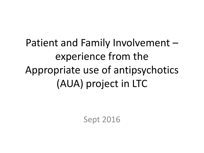Patient and Family Involvement – experience from the Appropriate use of antipsychotics (AUA) project in LTC

Sept 2016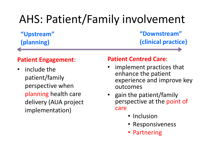# AHS: Patient/Family involvement

**"Upstream" (planning)** 

**"Downstream" (clinical practice)**

### **Patient Engagement**:

• include the patient/family perspective when planning health care delivery (AUA project implementation)

### **Patient Centred Care**:

- implement practices that enhance the patient experience and improve key outcomes
- gain the patient/family perspective at the point of care
	- Inclusion
	- Responsiveness
	- Partnering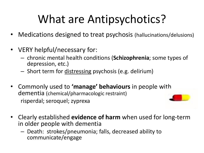# What are Antipsychotics?

- Medications designed to treat psychosis (hallucinations/delusions)
- VERY helpful/necessary for:
	- chronic mental health conditions (**Schizophrenia**; some types of depression, etc.)
	- Short term for distressing psychosis (e.g. delirium)
- Commonly used to **'manage' behaviours** in people with dementia (chemical/pharmacologic restraint) risperdal; seroquel; zyprexa
- Clearly established **evidence of harm** when used for long-term in older people with dementia
	- Death: strokes/pneumonia; falls, decreased ability to communicate/engage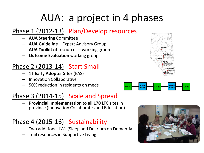## AUA: a project in 4 phases

### Phase 1 (2012-13) Plan/Develop resources

- **AUA Steering** Committee
- **AUA Guideline**  Expert Advisory Group
- **AUA Toolkit** of resources working group
- **Outcome Evaluation** working group

### Phase 2 (2013-14) Start Small

- 11 **Early Adopter Sites** (EAS)
- Innovation Collaborative
- 50% reduction in residents on meds

### Phase 3 (2014-15) Scale and Spread

– **Provincial implementation** to all 170 LTC sites in province (Innovation Collaborates and Education)

## Phase 4 (2015-16) Sustainability

- Two additional LWs (Sleep and Delirium on Dementia)
- Trail resources in Supportive Living





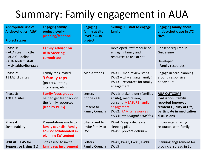## Summary: Family engagement in AUA

| <b>Appropriate Use of</b><br><b>Antipsychotics (AUA)</b><br><b>Project stages</b>                    | Engaging family $-$<br>project level -<br>planning/feedback                                        | <b>Engaging</b><br>family at site<br>level in AUA<br>project   | <b>Skilling LTC staff to engage</b><br>family                                                                                                          | <b>Engaging family about</b><br>antipsychotic use in LTC<br>sites                                                                      |
|------------------------------------------------------------------------------------------------------|----------------------------------------------------------------------------------------------------|----------------------------------------------------------------|--------------------------------------------------------------------------------------------------------------------------------------------------------|----------------------------------------------------------------------------------------------------------------------------------------|
| Phase 1:<br>- AUA steering ctte<br>- AUA Guideline<br>- AUA Toolkit (staff)<br>- MyHealth.Alberta.ca | <b>Family Advisor on</b><br><b>AUA Steering</b><br>committee                                       |                                                                | Developed Staff module on<br>engaging family and<br>resources to use at site                                                                           | Consent required in<br>Guideleine<br>Developed:<br>- Family resources                                                                  |
| Phase 2:<br>11 EAS LTC sites                                                                         | Family reps invited<br>3 family reps<br>(posters, letters,<br>interviews, etc.)                    | Media stories                                                  | LW#1 - med review steps<br>$LW#2 - why$ engage family?<br>$LW#3$ – resources for family<br>engagement                                                  | Engage in care-planning<br>around responsive<br>behaviours                                                                             |
| Phase 3:<br>170 LTC sites                                                                            | <b>Family focus groups</b><br>held to get feedback on<br>the family resources<br>(lead by PERG)    | Letters<br>phone calls<br>Present to<br><b>Family Councils</b> | LW#1: stakeholder (families<br>at site); med review,<br>consent; MEASURE family<br>engagement<br>LW#2: FAMILY resources<br>LW#3: meaningful activities | <b>AUA OUTCOME</b><br>Evaluation: family<br>reported improved<br>resident Quality of Life,<br>participate in medication<br>discussions |
| Phase 4:<br>Sustainability                                                                           | Presentations made to<br>family councils; Family<br>advisor collaborated in<br>planning LW content | Sites asked to<br>invite family to<br><b>LWs</b>               | LW#4: Sleep - decrease<br>sleeping pills<br>LW#5: prevent delirium                                                                                     | <b>Encouraged sharing</b><br>resources with family                                                                                     |
| <b>SPREAD: EAS for</b><br><b>Supportive Living (SL)</b>                                              | Sites asked to invite<br>family rep involvement                                                    | Letters<br><b>Family Councils</b>                              | LW#1, LW#2, LW#3, LW#4,<br><b>LW#5</b>                                                                                                                 | Planning engagement for<br>provincial spread in SL                                                                                     |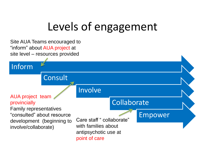# Levels of engagement

Site AUA Teams encouraged to "inform" about AUA project at site level – resources provided

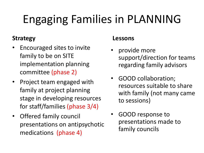# Engaging Families in PLANNING

### **Strategy**

- Encouraged sites to invite family to be on SITE implementation planning committee (phase 2)
- Project team engaged with family at project planning stage in developing resources for staff/families (phase 3/4)
- Offered family council presentations on antipsychotic medications (phase 4)

### **Lessons**

- provide more support/direction for teams regarding family advisors
- GOOD collaboration; resources suitable to share with family (not many came to sessions)
- GOOD response to presentations made to family councils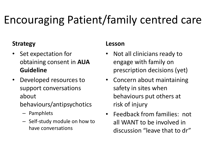# Encouraging Patient/family centred care

### **Strategy**

- Set expectation for obtaining consent in **AUA Guideline**
- Developed resources to support conversations about
	- behaviours/antipsychotics
		- Pamphlets
		- Self-study module on how to have conversations

### **Lesson**

- Not all clinicians ready to engage with family on prescription decisions (yet)
- Concern about maintaining safety in sites when behaviours put others at risk of injury
- Feedback from families: not all WANT to be involved in discussion "leave that to dr"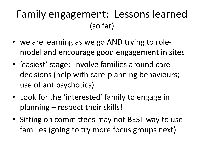## Family engagement: Lessons learned (so far)

- we are learning as we go AND trying to rolemodel and encourage good engagement in sites
- 'easiest' stage: involve families around care decisions (help with care-planning behaviours; use of antipsychotics)
- Look for the 'interested' family to engage in planning – respect their skills!
- Sitting on committees may not BEST way to use families (going to try more focus groups next)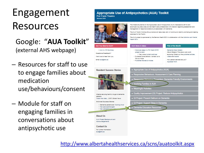# Engagement Resources

- Google: "**AUA Toolkit**" (external AHS webpage)
- Resources for staff to use to engage families about medication use/behaviours/consent
- Module for staff on engaging families in conversations about antipsychotic use

#### **Appropriate Use of Antipsychotics (AUA) Toolkit For Care Teams**

**Seniora SCN** 



The Alberts Guideline on the Appropriate Use of Antipsycholic (AUA) Medications (2013) and accompanying resources provide health care professionals with direction regarding assessment and management of responsive behaviours associated with dementia.

The AUA Toolkit Working Group reviews all resources, and will continue to identify promising and less practices for the Toolkit

The AUA project is sponsored by the Seniors Health SCN in collaboration with the Addiction and Mental Health SCN

| Are You New to AUA?                                                                                                      | <b>AUA News &amp; Ideas</b>                                                                                                                                                              | <b>Plok of the Month</b>                                                                                                                                                                     |  |  |
|--------------------------------------------------------------------------------------------------------------------------|------------------------------------------------------------------------------------------------------------------------------------------------------------------------------------------|----------------------------------------------------------------------------------------------------------------------------------------------------------------------------------------------|--|--|
| + AUA in LTC Summary<br><b>Ouestions/Feedback?</b><br>We'd love to hear from you.<br>Email sus@sha.ca                    | . Improved sleep in LTC! March 2016<br>project bulletin<br>. View more, builetin archivez<br>. Curbaide Consultations - contact us to<br>find out more<br>. Published Stories & Articles | Dementis Care Matters<br>(David Sheard) This site is well-worth<br>exploring! Check out the published articles.<br>videos and books!<br>How person-centred are you?<br><b>Appraisal Form</b> |  |  |
| <b>Resident Success Stories</b>                                                                                          | Appropriate Use of Antipsychotics (AUA)                                                                                                                                                  |                                                                                                                                                                                              |  |  |
|                                                                                                                          | Responsive Behaviours: Assessment & Care Planning                                                                                                                                        |                                                                                                                                                                                              |  |  |
|                                                                                                                          | Responsive Behaviour Prevention: Dementia Friendly Environments                                                                                                                          |                                                                                                                                                                                              |  |  |
|                                                                                                                          | Involving Families in AUA                                                                                                                                                                |                                                                                                                                                                                              |  |  |
|                                                                                                                          | Meaningful Activities                                                                                                                                                                    |                                                                                                                                                                                              |  |  |
| Alberta reducing harmful drugs to demential                                                                              | Cuality Improvement (QI) Project: Reduce Antipsychotics                                                                                                                                  |                                                                                                                                                                                              |  |  |
| patients<br>Watch the video (2:57) Global News                                                                           | CI Project: Prevent Delirium on Dementia                                                                                                                                                 |                                                                                                                                                                                              |  |  |
| Archived Success Stories                                                                                                 | CII Project: Support Sleep in Dementia                                                                                                                                                   |                                                                                                                                                                                              |  |  |
| . Dementia patients are "Coming Alive"<br>. Her eyes sparkle again<br>. New perspective for der<br><b>Concertibility</b> | Dementia Education Resources                                                                                                                                                             |                                                                                                                                                                                              |  |  |
| 1.4441400                                                                                                                |                                                                                                                                                                                          |                                                                                                                                                                                              |  |  |
| <b>About Us</b>                                                                                                          |                                                                                                                                                                                          |                                                                                                                                                                                              |  |  |
| AUA Project Background and<br>Acknowledgements                                                                           |                                                                                                                                                                                          |                                                                                                                                                                                              |  |  |
| <b>Contact Us</b>                                                                                                        |                                                                                                                                                                                          |                                                                                                                                                                                              |  |  |
| For further information:<br>sue@aha.ca                                                                                   |                                                                                                                                                                                          |                                                                                                                                                                                              |  |  |

<http://www.albertahealthservices.ca/scns/auatoolkit.aspx>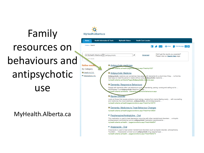# Family resources on behaviours and antipsychotic use

### MyHealth.Alberta.ca

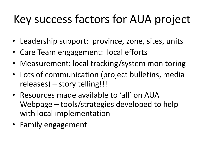# Key success factors for AUA project

- Leadership support: province, zone, sites, units
- Care Team engagement: local efforts
- Measurement: local tracking/system monitoring
- Lots of communication (project bulletins, media releases) – story telling!!!
- Resources made available to 'all' on AUA Webpage – tools/strategies developed to help with local implementation
- Family engagement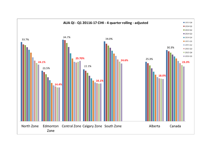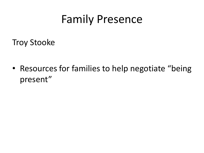# Family Presence

Troy Stooke

• Resources for families to help negotiate "being" present"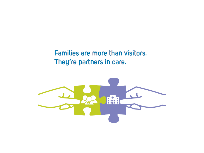### Families are more than visitors. They're partners in care.

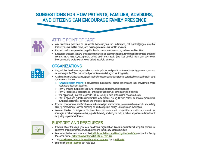#### SUGGESTIONS FOR HOW PATIENTS, FAMILIES, ADVISORS, AND CITIZENS CAN ENCOURAGE FAMILY PRESENCE



#### AT THE POINT OF CARE

- . Ask healthcare providers to use words that everyone can understand, not medical jargon. Ask that instructions are written down, and meeting materials are sent in advance.
- · Request healthcare providers pay attention to concerns expressed by patients and families.
- . Encourage practices that will enhance communication between patients, families and healthcare providers such as "NOD" (Name, Occupation, Duties) and "Teach Back" (e.g. "Can you tell me in your own words how you would explain what we've talked about, to a friend).

#### **ORGANIZATIONS**

- . Suggest that healthcare organizations update policies and practices to enable family presence, access, or rooming-in 24/7 (for the support person) versus visiting hours (for quests).
- . Ask healthcare providers about practices that increase patient and family participation as partners in care. Some examples are:
	- > "Shared decision-making" a collaborative process that allows patients and their providers to make healthcare decisions together.
	- > Family sharing the patient's cultural, emotional and spiritual preferences
	- Family Presence at assessments, or hospital "rounds", or care planning meetings
	- The opportunity (not the responsibility) for family to help with routine or comfort care
	- Staff support and quidelines for families to be present during difficult, painful or invasive procedures. during critical illness, as well as pre-and post-operatively.
- . Find out how patients and families are acknowledged and included in conversations about care, safety, quality improvement, service planning as well as system design, research and evaluation.
- . Discover the best 'point person' to have these discussions with, it could be a health care provider or manager, a patient representative, a patient/family advisory council, a patient experience department, or quality improvement team.



#### **SUPPORT AND RESOURCES**

- . Find out about the ways your local healthcare organization listens to patients including the process for concerns or compliments and/or a patient and family advisory committee.
- . Learn about other resources from the institute for Patient- and Family- Centered Care such as the Family Presence Guide: Better Together Pocket Guide for Families.
- . The Canadian Foundation for Healthcare Improvement has a full toolkit.
- · Learn how Better Together can help you!